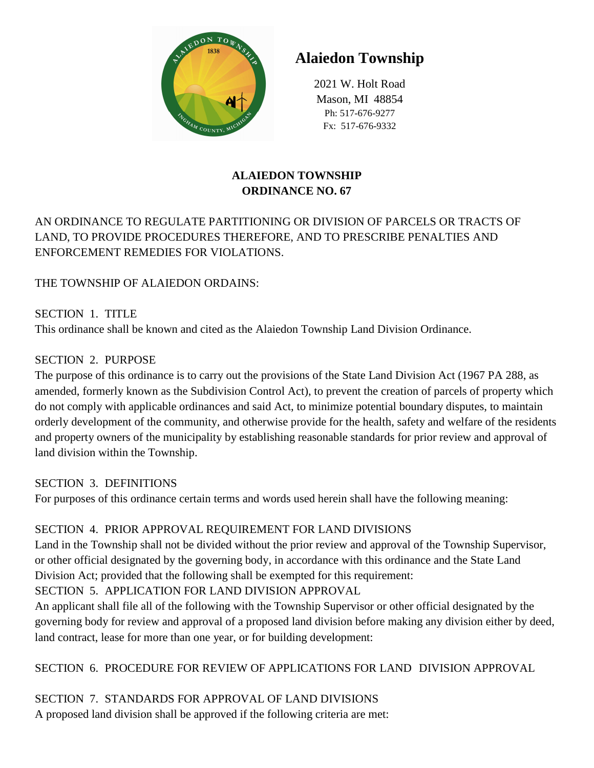

# **Alaiedon Township**

2021 W. Holt Road Mason, MI 48854 Ph: 517-676-9277 Fx: 517-676-9332

## **ALAIEDON TOWNSHIP ORDINANCE NO. 67**

# AN ORDINANCE TO REGULATE PARTITIONING OR DIVISION OF PARCELS OR TRACTS OF LAND, TO PROVIDE PROCEDURES THEREFORE, AND TO PRESCRIBE PENALTIES AND ENFORCEMENT REMEDIES FOR VIOLATIONS.

## THE TOWNSHIP OF ALAIEDON ORDAINS:

SECTION 1. TITLE This ordinance shall be known and cited as the Alaiedon Township Land Division Ordinance.

## SECTION 2. PURPOSE

The purpose of this ordinance is to carry out the provisions of the State Land Division Act (1967 PA 288, as amended, formerly known as the Subdivision Control Act), to prevent the creation of parcels of property which do not comply with applicable ordinances and said Act, to minimize potential boundary disputes, to maintain orderly development of the community, and otherwise provide for the health, safety and welfare of the residents and property owners of the municipality by establishing reasonable standards for prior review and approval of land division within the Township.

## SECTION 3. DEFINITIONS

For purposes of this ordinance certain terms and words used herein shall have the following meaning:

# SECTION 4. PRIOR APPROVAL REQUIREMENT FOR LAND DIVISIONS

Land in the Township shall not be divided without the prior review and approval of the Township Supervisor, or other official designated by the governing body, in accordance with this ordinance and the State Land Division Act; provided that the following shall be exempted for this requirement:

# SECTION 5. APPLICATION FOR LAND DIVISION APPROVAL

An applicant shall file all of the following with the Township Supervisor or other official designated by the governing body for review and approval of a proposed land division before making any division either by deed, land contract, lease for more than one year, or for building development:

## SECTION 6. PROCEDURE FOR REVIEW OF APPLICATIONS FOR LAND DIVISION APPROVAL

SECTION 7. STANDARDS FOR APPROVAL OF LAND DIVISIONS A proposed land division shall be approved if the following criteria are met: